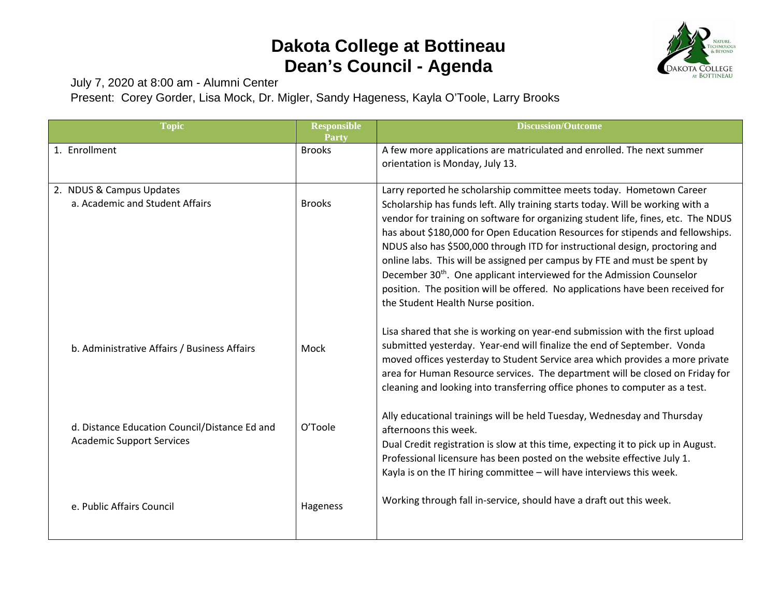## **Dakota College at Bottineau Dean's Council - Agenda**



July 7, 2020 at 8:00 am - Alumni Center

Present: Corey Gorder, Lisa Mock, Dr. Migler, Sandy Hageness, Kayla O'Toole, Larry Brooks

| <b>Topic</b>                                                                      | <b>Responsible</b><br>Party | <b>Discussion/Outcome</b>                                                                                                                                                                                                                                                                                                                                                                                                                                                                                                                                                                                                                                                                               |
|-----------------------------------------------------------------------------------|-----------------------------|---------------------------------------------------------------------------------------------------------------------------------------------------------------------------------------------------------------------------------------------------------------------------------------------------------------------------------------------------------------------------------------------------------------------------------------------------------------------------------------------------------------------------------------------------------------------------------------------------------------------------------------------------------------------------------------------------------|
| 1. Enrollment                                                                     | <b>Brooks</b>               | A few more applications are matriculated and enrolled. The next summer<br>orientation is Monday, July 13.                                                                                                                                                                                                                                                                                                                                                                                                                                                                                                                                                                                               |
| 2. NDUS & Campus Updates<br>a. Academic and Student Affairs                       | <b>Brooks</b>               | Larry reported he scholarship committee meets today. Hometown Career<br>Scholarship has funds left. Ally training starts today. Will be working with a<br>vendor for training on software for organizing student life, fines, etc. The NDUS<br>has about \$180,000 for Open Education Resources for stipends and fellowships.<br>NDUS also has \$500,000 through ITD for instructional design, proctoring and<br>online labs. This will be assigned per campus by FTE and must be spent by<br>December 30 <sup>th</sup> . One applicant interviewed for the Admission Counselor<br>position. The position will be offered. No applications have been received for<br>the Student Health Nurse position. |
| b. Administrative Affairs / Business Affairs                                      | Mock                        | Lisa shared that she is working on year-end submission with the first upload<br>submitted yesterday. Year-end will finalize the end of September. Vonda<br>moved offices yesterday to Student Service area which provides a more private<br>area for Human Resource services. The department will be closed on Friday for<br>cleaning and looking into transferring office phones to computer as a test.                                                                                                                                                                                                                                                                                                |
| d. Distance Education Council/Distance Ed and<br><b>Academic Support Services</b> | O'Toole                     | Ally educational trainings will be held Tuesday, Wednesday and Thursday<br>afternoons this week.<br>Dual Credit registration is slow at this time, expecting it to pick up in August.<br>Professional licensure has been posted on the website effective July 1.<br>Kayla is on the IT hiring committee - will have interviews this week.                                                                                                                                                                                                                                                                                                                                                               |
| e. Public Affairs Council                                                         | Hageness                    | Working through fall in-service, should have a draft out this week.                                                                                                                                                                                                                                                                                                                                                                                                                                                                                                                                                                                                                                     |